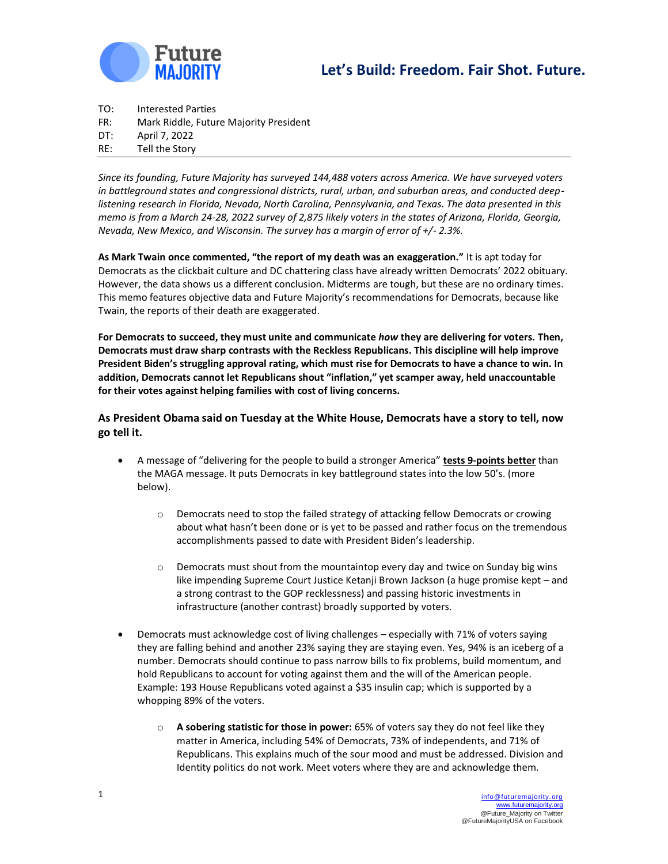



TO: Interested Parties FR: Mark Riddle, Future Majority President DT: April 7, 2022

RE: Tell the Story

*Since its founding, Future Majority has surveyed 144,488 voters across America. We have surveyed voters in battleground states and congressional districts, rural, urban, and suburban areas, and conducted deeplistening research in Florida, Nevada, North Carolina, Pennsylvania, and Texas. The data presented in this memo is from a March 24-28, 2022 survey of 2,875 likely voters in the states of Arizona, Florida, Georgia, Nevada, New Mexico, and Wisconsin. The survey has a margin of error of +/- 2.3%.* 

**As Mark Twain once commented, "the report of my death was an exaggeration."** It is apt today for Democrats as the clickbait culture and DC chattering class have already written Democrats' 2022 obituary. However, the data shows us a different conclusion. Midterms are tough, but these are no ordinary times. This memo features objective data and Future Majority's recommendations for Democrats, because like Twain, the reports of their death are exaggerated.

**For Democrats to succeed, they must unite and communicate** *how* **they are delivering for voters***.* **Then, Democrats must draw sharp contrasts with the Reckless Republicans. This discipline will help improve President Biden's struggling approval rating, which must rise for Democrats to have a chance to win. In addition, Democrats cannot let Republicans shout "inflation," yet scamper away, held unaccountable for their votes against helping families with cost of living concerns.** 

**As President Obama said on Tuesday at the White House, Democrats have a story to tell, now go tell it.**

- A message of "delivering for the people to build a stronger America" **tests 9-points better** than the MAGA message. It puts Democrats in key battleground states into the low 50's. (more below).
	- o Democrats need to stop the failed strategy of attacking fellow Democrats or crowing about what hasn't been done or is yet to be passed and rather focus on the tremendous accomplishments passed to date with President Biden's leadership.
	- $\circ$  Democrats must shout from the mountaintop every day and twice on Sunday big wins like impending Supreme Court Justice Ketanji Brown Jackson (a huge promise kept – and a strong contrast to the GOP recklessness) and passing historic investments in infrastructure (another contrast) broadly supported by voters.
- Democrats must acknowledge cost of living challenges especially with 71% of voters saying they are falling behind and another 23% saying they are staying even. Yes, 94% is an iceberg of a number. Democrats should continue to pass narrow bills to fix problems, build momentum, and hold Republicans to account for voting against them and the will of the American people. Example: 193 House Republicans voted against a \$35 insulin cap; which is supported by a whopping 89% of the voters.
	- o **A sobering statistic for those in power:** 65% of voters say they do not feel like they matter in America, including 54% of Democrats, 73% of independents, and 71% of Republicans. This explains much of the sour mood and must be addressed. Division and Identity politics do not work. Meet voters where they are and acknowledge them.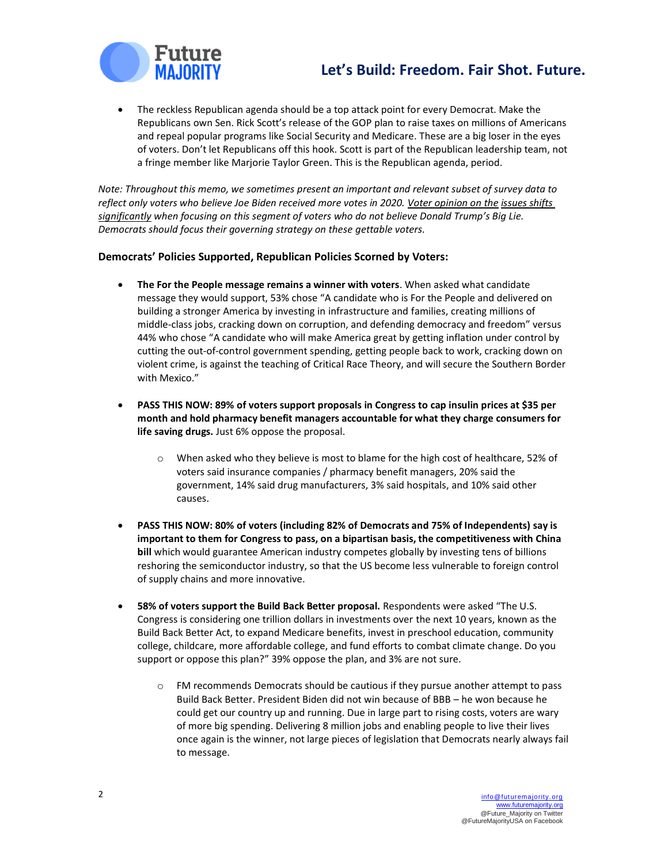# **Let's Build: Freedom. Fair Shot. Future.**



• The reckless Republican agenda should be a top attack point for every Democrat. Make the Republicans own Sen. Rick Scott's release of the GOP plan to raise taxes on millions of Americans and repeal popular programs like Social Security and Medicare. These are a big loser in the eyes of voters. Don't let Republicans off this hook. Scott is part of the Republican leadership team, not a fringe member like Marjorie Taylor Green. This is the Republican agenda, period.

*Note: Throughout this memo, we sometimes present an important and relevant subset of survey data to reflect only voters who believe Joe Biden received more votes in 2020. Voter opinion on the issues shifts significantly when focusing on this segment of voters who do not believe Donald Trump's Big Lie. Democrats should focus their governing strategy on these gettable voters.*

### **Democrats' Policies Supported, Republican Policies Scorned by Voters:**

- **The For the People message remains a winner with voters**. When asked what candidate message they would support, 53% chose "A candidate who is For the People and delivered on building a stronger America by investing in infrastructure and families, creating millions of middle-class jobs, cracking down on corruption, and defending democracy and freedom" versus 44% who chose "A candidate who will make America great by getting inflation under control by cutting the out-of-control government spending, getting people back to work, cracking down on violent crime, is against the teaching of Critical Race Theory, and will secure the Southern Border with Mexico."
- **PASS THIS NOW: 89% of voters support proposals in Congress to cap insulin prices at \$35 per month and hold pharmacy benefit managers accountable for what they charge consumers for life saving drugs.** Just 6% oppose the proposal.
	- $\circ$  When asked who they believe is most to blame for the high cost of healthcare, 52% of voters said insurance companies / pharmacy benefit managers, 20% said the government, 14% said drug manufacturers, 3% said hospitals, and 10% said other causes.
- **PASS THIS NOW: 80% of voters (including 82% of Democrats and 75% of Independents) say is important to them for Congress to pass, on a bipartisan basis, the competitiveness with China bill** which would guarantee American industry competes globally by investing tens of billions reshoring the semiconductor industry, so that the US become less vulnerable to foreign control of supply chains and more innovative.
- **58% of voters support the Build Back Better proposal.** Respondents were asked "The U.S. Congress is considering one trillion dollars in investments over the next 10 years, known as the Build Back Better Act, to expand Medicare benefits, invest in preschool education, community college, childcare, more affordable college, and fund efforts to combat climate change. Do you support or oppose this plan?" 39% oppose the plan, and 3% are not sure.
	- o FM recommends Democrats should be cautious if they pursue another attempt to pass Build Back Better. President Biden did not win because of BBB – he won because he could get our country up and running. Due in large part to rising costs, voters are wary of more big spending. Delivering 8 million jobs and enabling people to live their lives once again is the winner, not large pieces of legislation that Democrats nearly always fail to message.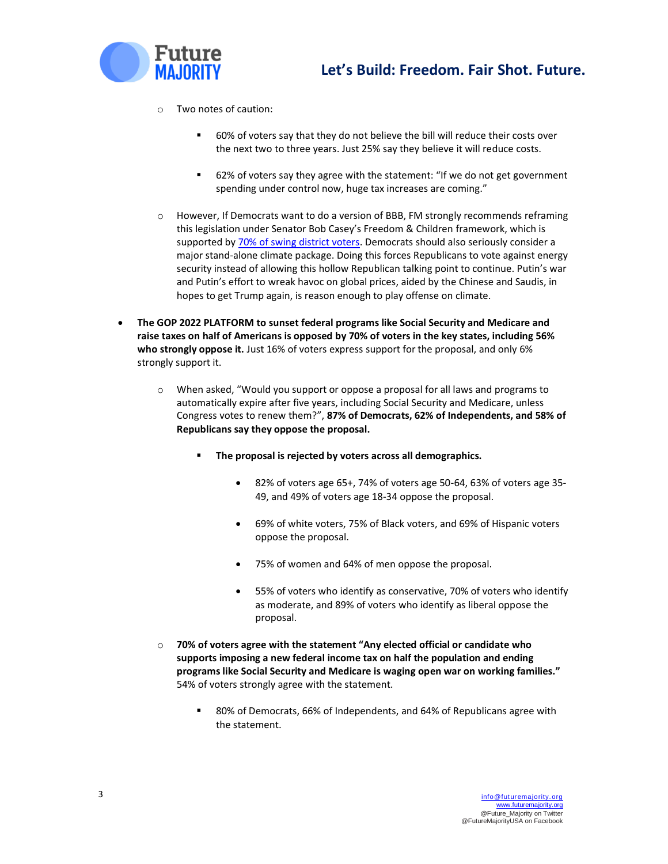



- o Two notes of caution:
	- 60% of voters say that they do not believe the bill will reduce their costs over the next two to three years. Just 25% say they believe it will reduce costs.
	- 62% of voters say they agree with the statement: "If we do not get government spending under control now, huge tax increases are coming."
- $\circ$  However, If Democrats want to do a version of BBB, FM strongly recommends reframing this legislation under Senator Bob Casey's Freedom & Children framework, which is supported b[y 70% of swing district voters.](https://futuremajority.org/wp-content/uploads/FM-Memo-Message-and-Strategy-Recommendation.pdf) Democrats should also seriously consider a major stand-alone climate package. Doing this forces Republicans to vote against energy security instead of allowing this hollow Republican talking point to continue. Putin's war and Putin's effort to wreak havoc on global prices, aided by the Chinese and Saudis, in hopes to get Trump again, is reason enough to play offense on climate.
- **The GOP 2022 PLATFORM to sunset federal programs like Social Security and Medicare and raise taxes on half of Americans is opposed by 70% of voters in the key states, including 56% who strongly oppose it.** Just 16% of voters express support for the proposal, and only 6% strongly support it.
	- o When asked, "Would you support or oppose a proposal for all laws and programs to automatically expire after five years, including Social Security and Medicare, unless Congress votes to renew them?", **87% of Democrats, 62% of Independents, and 58% of Republicans say they oppose the proposal.**
		- **The proposal is rejected by voters across all demographics.** 
			- 82% of voters age 65+, 74% of voters age 50-64, 63% of voters age 35- 49, and 49% of voters age 18-34 oppose the proposal.
			- 69% of white voters, 75% of Black voters, and 69% of Hispanic voters oppose the proposal.
			- 75% of women and 64% of men oppose the proposal.
			- 55% of voters who identify as conservative, 70% of voters who identify as moderate, and 89% of voters who identify as liberal oppose the proposal.
	- o **70% of voters agree with the statement "Any elected official or candidate who supports imposing a new federal income tax on half the population and ending programs like Social Security and Medicare is waging open war on working families."**  54% of voters strongly agree with the statement.
		- 80% of Democrats, 66% of Independents, and 64% of Republicans agree with the statement.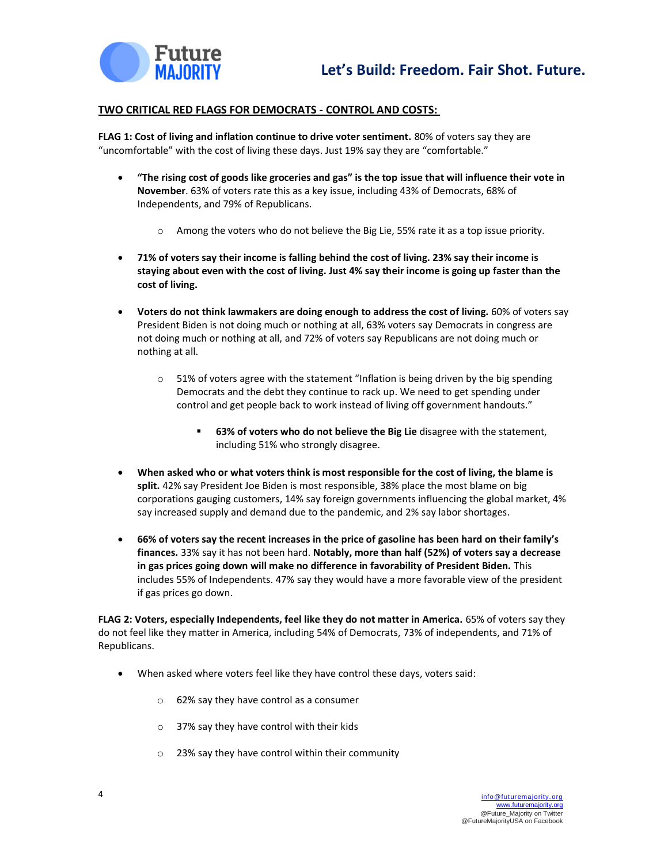

#### **TWO CRITICAL RED FLAGS FOR DEMOCRATS - CONTROL AND COSTS:**

**FLAG 1: Cost of living and inflation continue to drive voter sentiment.** 80% of voters say they are "uncomfortable" with the cost of living these days. Just 19% say they are "comfortable."

- **"The rising cost of goods like groceries and gas" is the top issue that will influence their vote in November**. 63% of voters rate this as a key issue, including 43% of Democrats, 68% of Independents, and 79% of Republicans.
	- $\circ$  Among the voters who do not believe the Big Lie, 55% rate it as a top issue priority.
- **71% of voters say their income is falling behind the cost of living. 23% say their income is staying about even with the cost of living. Just 4% say their income is going up faster than the cost of living.**
- **Voters do not think lawmakers are doing enough to address the cost of living.** 60% of voters say President Biden is not doing much or nothing at all, 63% voters say Democrats in congress are not doing much or nothing at all, and 72% of voters say Republicans are not doing much or nothing at all.
	- $\circ$  51% of voters agree with the statement "Inflation is being driven by the big spending Democrats and the debt they continue to rack up. We need to get spending under control and get people back to work instead of living off government handouts."
		- 63% of voters who do not believe the Big Lie disagree with the statement, including 51% who strongly disagree.
- **When asked who or what voters think is most responsible for the cost of living, the blame is split.** 42% say President Joe Biden is most responsible, 38% place the most blame on big corporations gauging customers, 14% say foreign governments influencing the global market, 4% say increased supply and demand due to the pandemic, and 2% say labor shortages.
- **66% of voters say the recent increases in the price of gasoline has been hard on their family's finances.** 33% say it has not been hard. **Notably, more than half (52%) of voters say a decrease in gas prices going down will make no difference in favorability of President Biden.** This includes 55% of Independents. 47% say they would have a more favorable view of the president if gas prices go down.

**FLAG 2: Voters, especially Independents, feel like they do not matter in America.** 65% of voters say they do not feel like they matter in America, including 54% of Democrats, 73% of independents, and 71% of Republicans.

- When asked where voters feel like they have control these days, voters said:
	- o 62% say they have control as a consumer
	- o 37% say they have control with their kids
	- o 23% say they have control within their community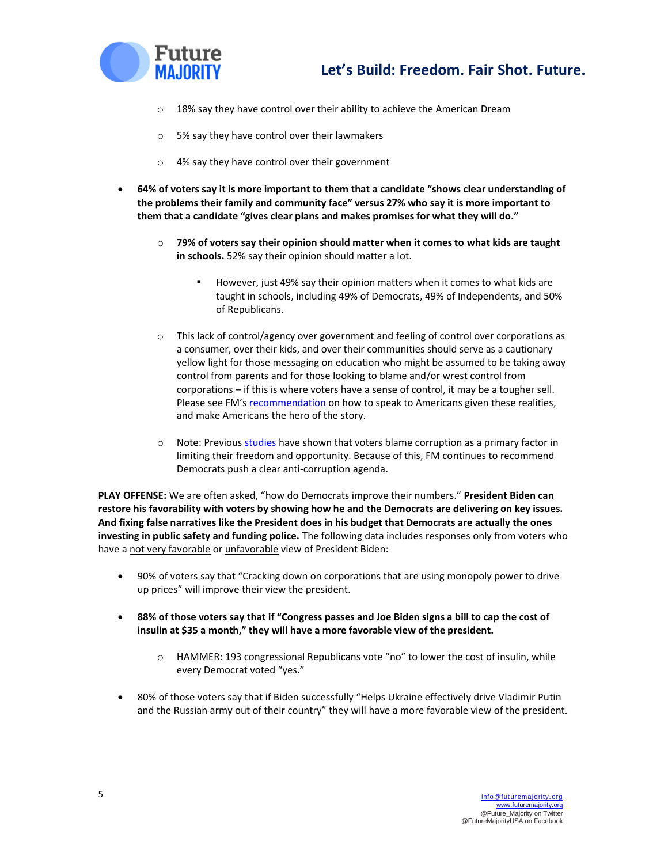

- o 18% say they have control over their ability to achieve the American Dream
- o 5% say they have control over their lawmakers
- o 4% say they have control over their government
- **64% of voters say it is more important to them that a candidate "shows clear understanding of the problems their family and community face" versus 27% who say it is more important to them that a candidate "gives clear plans and makes promises for what they will do."**
	- o **79% of voters say their opinion should matter when it comes to what kids are taught in schools.** 52% say their opinion should matter a lot.
		- However, just 49% say their opinion matters when it comes to what kids are taught in schools, including 49% of Democrats, 49% of Independents, and 50% of Republicans.
	- o This lack of control/agency over government and feeling of control over corporations as a consumer, over their kids, and over their communities should serve as a cautionary yellow light for those messaging on education who might be assumed to be taking away control from parents and for those looking to blame and/or wrest control from corporations – if this is where voters have a sense of control, it may be a tougher sell. Please see FM's [recommendation](https://futuremajority.org/wp-content/uploads/FM-Making-Americans-the-Hero-of-the-Story.pdf) on how to speak to Americans given these realities, and make Americans the hero of the story.
	- o Note: Previous [studies](https://futuremajority.org/wp-content/uploads/Future-Majority-Playbook-July-2021.pdf) have shown that voters blame corruption as a primary factor in limiting their freedom and opportunity. Because of this, FM continues to recommend Democrats push a clear anti-corruption agenda.

**PLAY OFFENSE:** We are often asked, "how do Democrats improve their numbers." **President Biden can restore his favorability with voters by showing how he and the Democrats are delivering on key issues. And fixing false narratives like the President does in his budget that Democrats are actually the ones investing in public safety and funding police.** The following data includes responses only from voters who have a not very favorable or unfavorable view of President Biden:

- 90% of voters say that "Cracking down on corporations that are using monopoly power to drive up prices" will improve their view the president.
- **88% of those voters say that if "Congress passes and Joe Biden signs a bill to cap the cost of insulin at \$35 a month," they will have a more favorable view of the president.** 
	- $\circ$  HAMMER: 193 congressional Republicans vote "no" to lower the cost of insulin, while every Democrat voted "yes."
- 80% of those voters say that if Biden successfully "Helps Ukraine effectively drive Vladimir Putin and the Russian army out of their country" they will have a more favorable view of the president.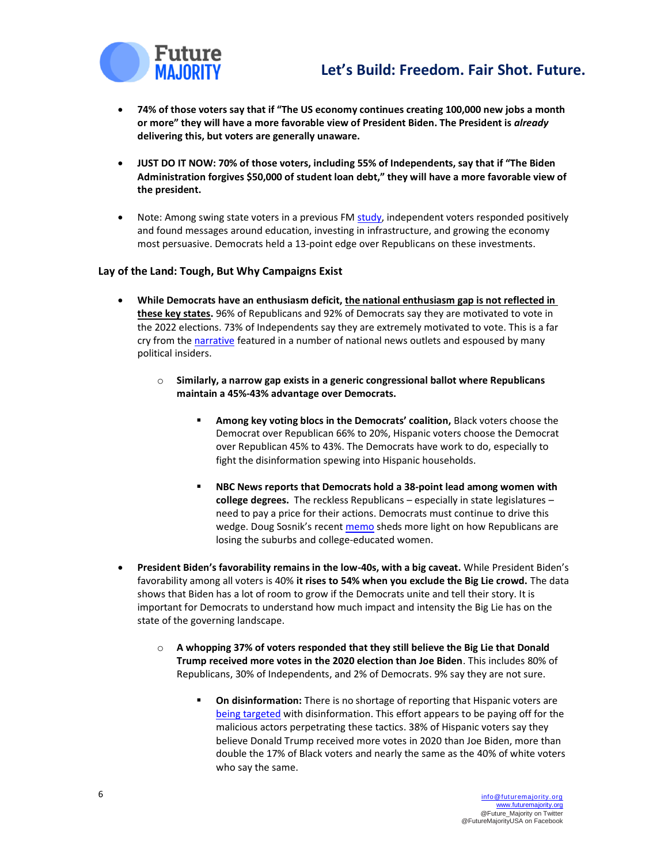

## **Let's Build: Freedom. Fair Shot. Future.**

- **74% of those voters say that if "The US economy continues creating 100,000 new jobs a month or more" they will have a more favorable view of President Biden. The President is** *already* **delivering this, but voters are generally unaware.**
- **JUST DO IT NOW: 70% of those voters, including 55% of Independents, say that if "The Biden Administration forgives \$50,000 of student loan debt," they will have a more favorable view of the president.**
- Note: Among swing state voters in a previous F[M study,](https://futuremajority.org/wp-content/uploads/FM-Memo-Swing-State-Survey-Results-01162022.pdf) independent voters responded positively and found messages around education, investing in infrastructure, and growing the economy most persuasive. Democrats held a 13-point edge over Republicans on these investments.

### **Lay of the Land: Tough, But Why Campaigns Exist**

- **While Democrats have an enthusiasm deficit, the national enthusiasm gap is not reflected in these key states.** 96% of Republicans and 92% of Democrats say they are motivated to vote in the 2022 elections. 73% of Independents say they are extremely motivated to vote. This is a far cry from th[e narrative](https://www.politico.com/news/2022/03/31/enthusiasm-gap-dems-00021774) featured in a number of national news outlets and espoused by many political insiders.
	- o **Similarly, a narrow gap exists in a generic congressional ballot where Republicans maintain a 45%-43% advantage over Democrats.** 
		- **EXEDM Among key voting blocs in the Democrats' coalition, Black voters choose the** Democrat over Republican 66% to 20%, Hispanic voters choose the Democrat over Republican 45% to 43%. The Democrats have work to do, especially to fight the disinformation spewing into Hispanic households.
		- **NBC News reports that Democrats hold a 38-point lead among women with college degrees.** The reckless Republicans – especially in state legislatures – need to pay a price for their actions. Democrats must continue to drive this wedge. Doug Sosnik's recent [memo](https://www.politico.com/f/?id=0000017f-bcf4-d17b-a1ff-bef5e8a70000) sheds more light on how Republicans are losing the suburbs and college-educated women.
- **President Biden's favorability remains in the low-40s, with a big caveat.** While President Biden's favorability among all voters is 40% **it rises to 54% when you exclude the Big Lie crowd.** The data shows that Biden has a lot of room to grow if the Democrats unite and tell their story. It is important for Democrats to understand how much impact and intensity the Big Lie has on the state of the governing landscape.
	- o **A whopping 37% of voters responded that they still believe the Big Lie that Donald Trump received more votes in the 2020 election than Joe Biden**. This includes 80% of Republicans, 30% of Independents, and 2% of Democrats. 9% say they are not sure.
		- On disinformation: There is no shortage of reporting that Hispanic voters are [being targeted](https://www.nbcnews.com/politics/politics-news/inside-big-wave-misinformation-targeted-latinos-n1284897) with disinformation. This effort appears to be paying off for the malicious actors perpetrating these tactics. 38% of Hispanic voters say they believe Donald Trump received more votes in 2020 than Joe Biden, more than double the 17% of Black voters and nearly the same as the 40% of white voters who say the same.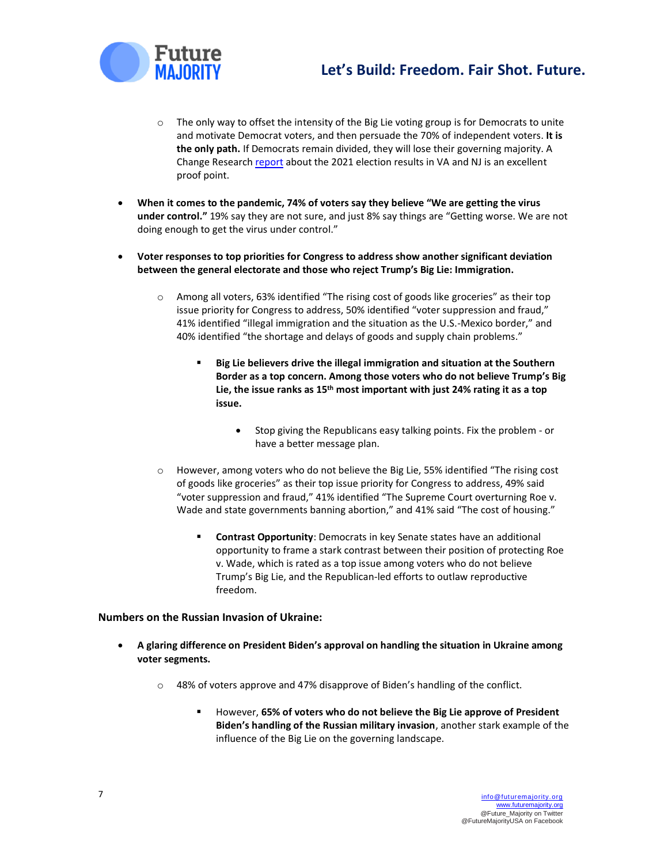



- $\circ$  The only way to offset the intensity of the Big Lie voting group is for Democrats to unite and motivate Democrat voters, and then persuade the 70% of independent voters. **It is the only path.** If Democrats remain divided, they will lose their governing majority. A Change Research [report](https://changeresearch.com/post/virginia-newjersey-2021/) about the 2021 election results in VA and NJ is an excellent proof point.
- **When it comes to the pandemic, 74% of voters say they believe "We are getting the virus under control."** 19% say they are not sure, and just 8% say things are "Getting worse. We are not doing enough to get the virus under control."
- **Voter responses to top priorities for Congress to address show another significant deviation between the general electorate and those who reject Trump's Big Lie: Immigration.** 
	- $\circ$  Among all voters, 63% identified "The rising cost of goods like groceries" as their top issue priority for Congress to address, 50% identified "voter suppression and fraud," 41% identified "illegal immigration and the situation as the U.S.-Mexico border," and 40% identified "the shortage and delays of goods and supply chain problems."
		- Big Lie believers drive the illegal immigration and situation at the Southern **Border as a top concern. Among those voters who do not believe Trump's Big Lie, the issue ranks as 15th most important with just 24% rating it as a top issue.** 
			- Stop giving the Republicans easy talking points. Fix the problem or have a better message plan.
	- o However, among voters who do not believe the Big Lie, 55% identified "The rising cost of goods like groceries" as their top issue priority for Congress to address, 49% said "voter suppression and fraud," 41% identified "The Supreme Court overturning Roe v. Wade and state governments banning abortion," and 41% said "The cost of housing."
		- **Contrast Opportunity**: Democrats in key Senate states have an additional opportunity to frame a stark contrast between their position of protecting Roe v. Wade, which is rated as a top issue among voters who do not believe Trump's Big Lie, and the Republican-led efforts to outlaw reproductive freedom.

### **Numbers on the Russian Invasion of Ukraine:**

- **A glaring difference on President Biden's approval on handling the situation in Ukraine among voter segments.** 
	- $\circ$  48% of voters approve and 47% disapprove of Biden's handling of the conflict.
		- However, 65% of voters who do not believe the Big Lie approve of President **Biden's handling of the Russian military invasion**, another stark example of the influence of the Big Lie on the governing landscape.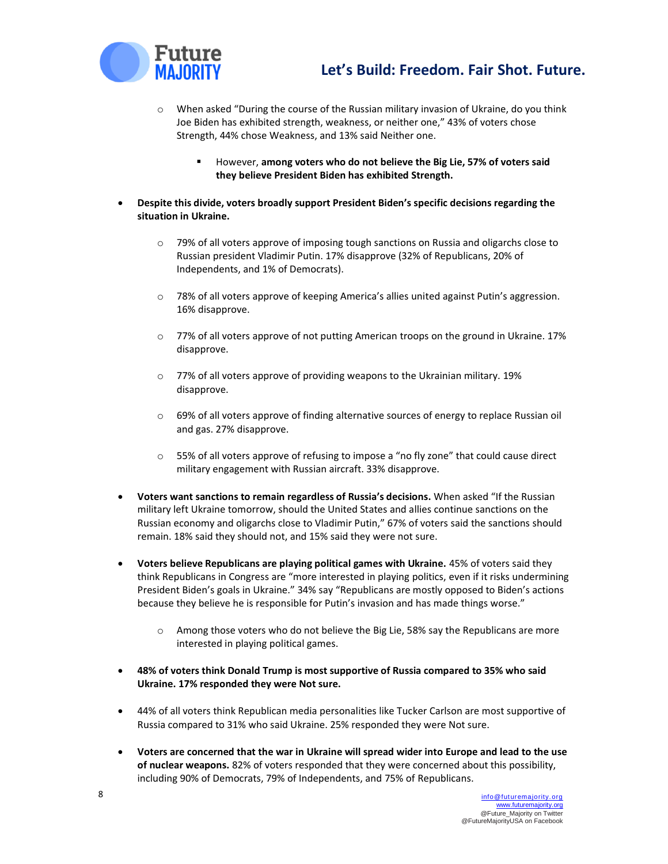

- o When asked "During the course of the Russian military invasion of Ukraine, do you think Joe Biden has exhibited strength, weakness, or neither one," 43% of voters chose Strength, 44% chose Weakness, and 13% said Neither one.
	- However, **among voters who do not believe the Big Lie, 57% of voters said they believe President Biden has exhibited Strength.**
- **Despite this divide, voters broadly support President Biden's specific decisions regarding the situation in Ukraine.** 
	- o 79% of all voters approve of imposing tough sanctions on Russia and oligarchs close to Russian president Vladimir Putin. 17% disapprove (32% of Republicans, 20% of Independents, and 1% of Democrats).
	- o 78% of all voters approve of keeping America's allies united against Putin's aggression. 16% disapprove.
	- o 77% of all voters approve of not putting American troops on the ground in Ukraine. 17% disapprove.
	- o 77% of all voters approve of providing weapons to the Ukrainian military. 19% disapprove.
	- $\circ$  69% of all voters approve of finding alternative sources of energy to replace Russian oil and gas. 27% disapprove.
	- $\circ$  55% of all voters approve of refusing to impose a "no fly zone" that could cause direct military engagement with Russian aircraft. 33% disapprove.
- **Voters want sanctions to remain regardless of Russia's decisions.** When asked "If the Russian military left Ukraine tomorrow, should the United States and allies continue sanctions on the Russian economy and oligarchs close to Vladimir Putin," 67% of voters said the sanctions should remain. 18% said they should not, and 15% said they were not sure.
- **Voters believe Republicans are playing political games with Ukraine.** 45% of voters said they think Republicans in Congress are "more interested in playing politics, even if it risks undermining President Biden's goals in Ukraine." 34% say "Republicans are mostly opposed to Biden's actions because they believe he is responsible for Putin's invasion and has made things worse."
	- o Among those voters who do not believe the Big Lie, 58% say the Republicans are more interested in playing political games.
- **48% of voters think Donald Trump is most supportive of Russia compared to 35% who said Ukraine. 17% responded they were Not sure.**
- 44% of all voters think Republican media personalities like Tucker Carlson are most supportive of Russia compared to 31% who said Ukraine. 25% responded they were Not sure.
- **Voters are concerned that the war in Ukraine will spread wider into Europe and lead to the use of nuclear weapons.** 82% of voters responded that they were concerned about this possibility, including 90% of Democrats, 79% of Independents, and 75% of Republicans.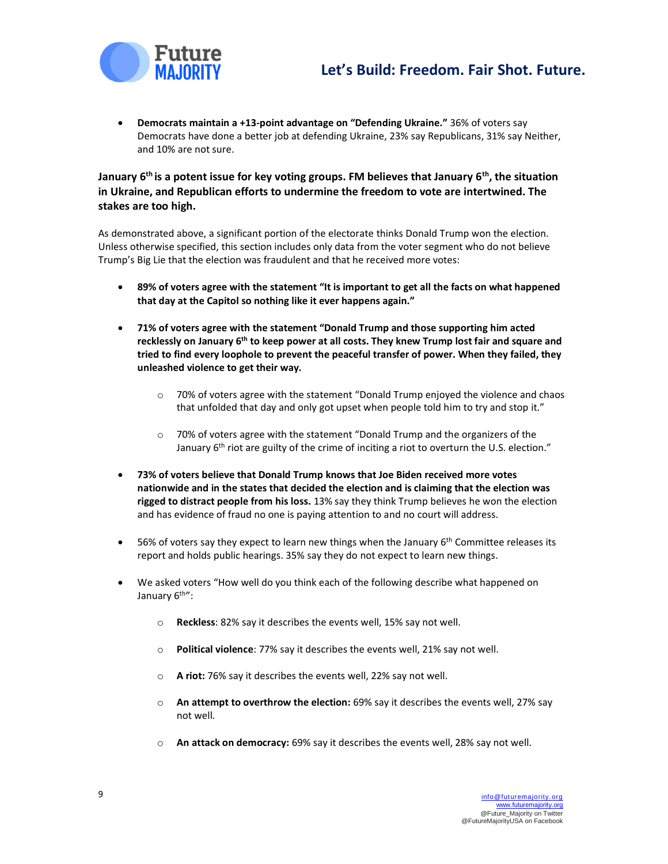

• **Democrats maintain a +13-point advantage on "Defending Ukraine."** 36% of voters say Democrats have done a better job at defending Ukraine, 23% say Republicans, 31% say Neither, and 10% are not sure.

### **January 6th is a potent issue for key voting groups. FM believes that January 6th, the situation in Ukraine, and Republican efforts to undermine the freedom to vote are intertwined. The stakes are too high.**

As demonstrated above, a significant portion of the electorate thinks Donald Trump won the election. Unless otherwise specified, this section includes only data from the voter segment who do not believe Trump's Big Lie that the election was fraudulent and that he received more votes:

- **89% of voters agree with the statement "It is important to get all the facts on what happened that day at the Capitol so nothing like it ever happens again."**
- **71% of voters agree with the statement "Donald Trump and those supporting him acted recklessly on January 6th to keep power at all costs. They knew Trump lost fair and square and tried to find every loophole to prevent the peaceful transfer of power. When they failed, they unleashed violence to get their way.** 
	- $\circ$  70% of voters agree with the statement "Donald Trump enjoyed the violence and chaos that unfolded that day and only got upset when people told him to try and stop it."
	- $\circ$  70% of voters agree with the statement "Donald Trump and the organizers of the January 6<sup>th</sup> riot are guilty of the crime of inciting a riot to overturn the U.S. election."
- **73% of voters believe that Donald Trump knows that Joe Biden received more votes nationwide and in the states that decided the election and is claiming that the election was rigged to distract people from his loss.** 13% say they think Trump believes he won the election and has evidence of fraud no one is paying attention to and no court will address.
- $\bullet$  56% of voters say they expect to learn new things when the January 6<sup>th</sup> Committee releases its report and holds public hearings. 35% say they do not expect to learn new things.
- We asked voters "How well do you think each of the following describe what happened on January 6<sup>th"</sup>:
	- o **Reckless**: 82% say it describes the events well, 15% say not well.
	- o **Political violence**: 77% say it describes the events well, 21% say not well.
	- o **A riot:** 76% say it describes the events well, 22% say not well.
	- o **An attempt to overthrow the election:** 69% say it describes the events well, 27% say not well.
	- o **An attack on democracy:** 69% say it describes the events well, 28% say not well.